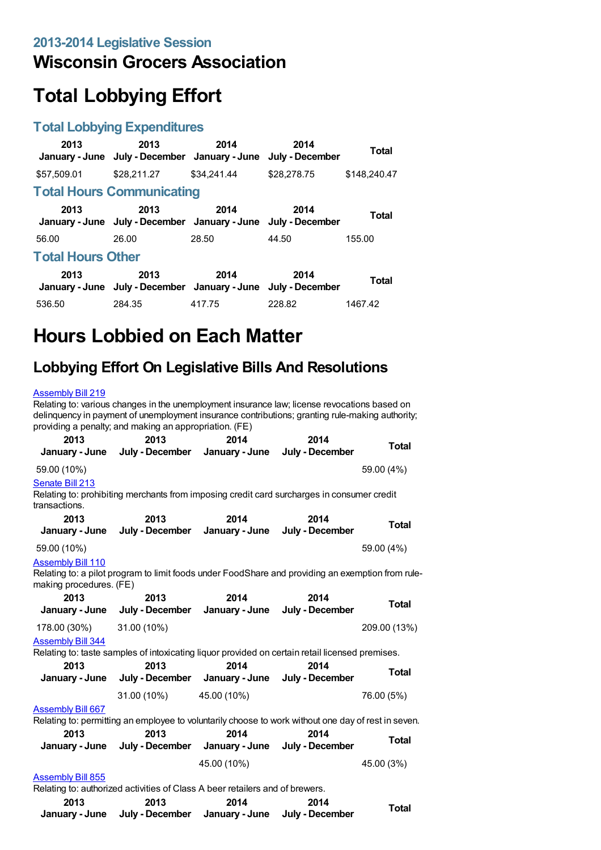## **Wisconsin Grocers Association**

# **Total Lobbying Effort**

## **Total Lobbying Expenditures**

| 2013                     | 2013<br>January - June July - December January - June July - December | 2014        | 2014        | <b>Total</b> |  |
|--------------------------|-----------------------------------------------------------------------|-------------|-------------|--------------|--|
| \$57,509.01              | \$28,211.27                                                           | \$34,241,44 | \$28,278.75 | \$148.240.47 |  |
|                          | <b>Total Hours Communicating</b>                                      |             |             |              |  |
| 2013                     | 2013<br>January - June July - December January - June July - December | 2014        | 2014        | Total        |  |
| 56.00                    | 26.00                                                                 | 28.50       | 44.50       | 155.00       |  |
| <b>Total Hours Other</b> |                                                                       |             |             |              |  |
| 2013                     | 2013<br>January - June July - December January - June July - December | 2014        | 2014        | <b>Total</b> |  |
| 536.50                   | 284.35                                                                | 417.75      | 228.82      | 1467.42      |  |

# **Hours Lobbied on Each Matter**

# **Lobbying Effort On Legislative Bills And Resolutions**

#### [Assembly](https://lobbying.wi.gov/What/BillInformation/2013REG/Information/10126?tab=Efforts) Bill 219

Relating to: various changes in the unemployment insurance law; license revocations based on delinquency in payment of unemployment insurance contributions; granting rule-making authority; providing a penalty; and making an appropriation. (FE) **2013 January - June July - December January - June 2013 2014 2014 July - December Total** 59.00 (10%) 59.00 (4%) [Senate](https://lobbying.wi.gov/What/BillInformation/2013REG/Information/10163?tab=Efforts) Bill 213 Relating to: prohibiting merchants from imposing credit card surcharges in consumer credit transactions. **2013 January - June 2013 July - December 2014 January - June 2014 July - December Total** 59.00 (10%) 59.00 (4%) [Assembly](https://lobbying.wi.gov/What/BillInformation/2013REG/Information/9882?tab=Efforts) Bill 110 Relating to: a pilot program to limit foods under FoodShare and providing an exemption from rulemaking procedures. (FE) **2013 January - June 2013 July - December 2014 January - June 2014 July - December Total** 178.00 (30%) 31.00 (10%) 209.00 (13%) [Assembly](https://lobbying.wi.gov/What/BillInformation/2013REG/Information/10348?tab=Efforts) Bill 344 Relating to: taste samples of intoxicating liquor provided on certain retail licensed premises. **2013 January - June 2013 July - December 2014 January - June 2014 July - December Total** 31.00 (10%) 45.00 (10%) 76.00 (5%) [Assembly](https://lobbying.wi.gov/What/BillInformation/2013REG/Information/11030?tab=Efforts) Bill 667 Relating to: permitting an employee to voluntarily choose to work without one day of rest in seven. **2013 January - June 2013 July - December 2014 January - June 2014 July - December Total** 45.00 (10%) 45.00 (3%) **[Assembly](https://lobbying.wi.gov/What/BillInformation/2013REG/Information/11415?tab=Efforts) Bill 855** Relating to: authorized activities of Class A beer retailers and of brewers. **2013 January - June July - December January - June July - December 2013 2014 2014 Total**